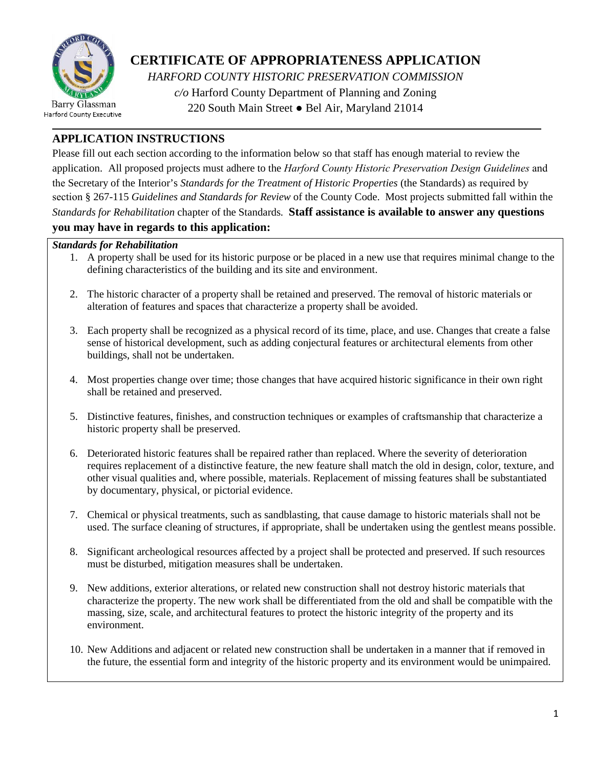

## **CERTIFICATE OF APPROPRIATENESS APPLICATION**

*HARFORD COUNTY HISTORIC PRESERVATION COMMISSION c/o* Harford County Department of Planning and Zoning 220 South Main Street ● Bel Air, Maryland 21014

### **APPLICATION INSTRUCTIONS**

Please fill out each section according to the information below so that staff has enough material to review the application. All proposed projects must adhere to the *Harford County Historic Preservation Design Guidelines* and the Secretary of the Interior's *Standards for the Treatment of Historic Properties* (the Standards) as required by section § 267-115 *Guidelines and Standards for Review* of the County Code. Most projects submitted fall within the *Standards for Rehabilitation* chapter of the Standards*.* **Staff assistance is available to answer any questions** 

### **you may have in regards to this application:**

### *Standards for Rehabilitation*

- 1. A property shall be used for its historic purpose or be placed in a new use that requires minimal change to the defining characteristics of the building and its site and environment.
- 2. The historic character of a property shall be retained and preserved. The removal of historic materials or alteration of features and spaces that characterize a property shall be avoided.
- 3. Each property shall be recognized as a physical record of its time, place, and use. Changes that create a false sense of historical development, such as adding conjectural features or architectural elements from other buildings, shall not be undertaken.
- 4. Most properties change over time; those changes that have acquired historic significance in their own right shall be retained and preserved.
- 5. Distinctive features, finishes, and construction techniques or examples of craftsmanship that characterize a historic property shall be preserved.
- 6. Deteriorated historic features shall be repaired rather than replaced. Where the severity of deterioration requires replacement of a distinctive feature, the new feature shall match the old in design, color, texture, and other visual qualities and, where possible, materials. Replacement of missing features shall be substantiated by documentary, physical, or pictorial evidence.
- 7. Chemical or physical treatments, such as sandblasting, that cause damage to historic materials shall not be used. The surface cleaning of structures, if appropriate, shall be undertaken using the gentlest means possible.
- 8. Significant archeological resources affected by a project shall be protected and preserved. If such resources must be disturbed, mitigation measures shall be undertaken.
- 9. New additions, exterior alterations, or related new construction shall not destroy historic materials that characterize the property. The new work shall be differentiated from the old and shall be compatible with the massing, size, scale, and architectural features to protect the historic integrity of the property and its environment.
- 10. New Additions and adjacent or related new construction shall be undertaken in a manner that if removed in the future, the essential form and integrity of the historic property and its environment would be unimpaired.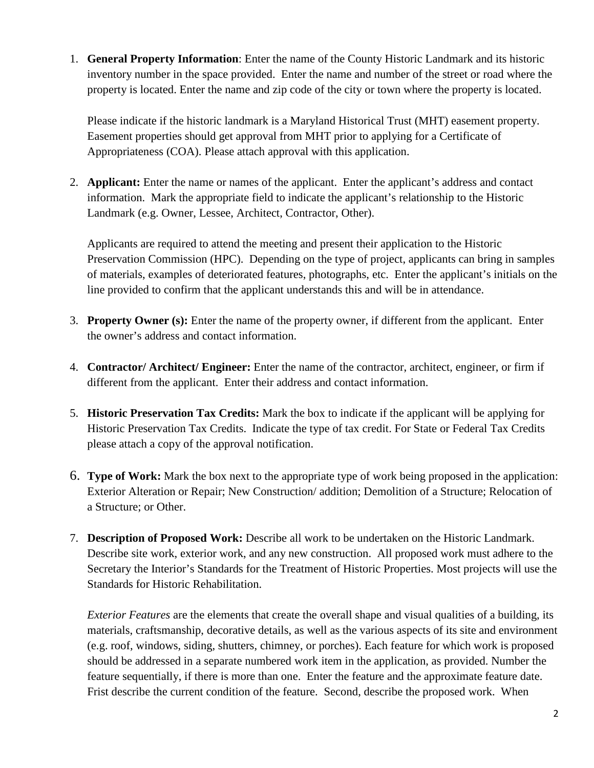1. **General Property Information**: Enter the name of the County Historic Landmark and its historic inventory number in the space provided. Enter the name and number of the street or road where the property is located. Enter the name and zip code of the city or town where the property is located.

Please indicate if the historic landmark is a Maryland Historical Trust (MHT) easement property. Easement properties should get approval from MHT prior to applying for a Certificate of Appropriateness (COA). Please attach approval with this application.

2. **Applicant:** Enter the name or names of the applicant. Enter the applicant's address and contact information. Mark the appropriate field to indicate the applicant's relationship to the Historic Landmark (e.g. Owner, Lessee, Architect, Contractor, Other).

Applicants are required to attend the meeting and present their application to the Historic Preservation Commission (HPC). Depending on the type of project, applicants can bring in samples of materials, examples of deteriorated features, photographs, etc. Enter the applicant's initials on the line provided to confirm that the applicant understands this and will be in attendance.

- 3. **Property Owner (s):** Enter the name of the property owner, if different from the applicant. Enter the owner's address and contact information.
- 4. **Contractor/ Architect/ Engineer:** Enter the name of the contractor, architect, engineer, or firm if different from the applicant. Enter their address and contact information.
- 5. **Historic Preservation Tax Credits:** Mark the box to indicate if the applicant will be applying for Historic Preservation Tax Credits. Indicate the type of tax credit. For State or Federal Tax Credits please attach a copy of the approval notification.
- 6. **Type of Work:** Mark the box next to the appropriate type of work being proposed in the application: Exterior Alteration or Repair; New Construction/ addition; Demolition of a Structure; Relocation of a Structure; or Other.
- 7. **Description of Proposed Work:** Describe all work to be undertaken on the Historic Landmark. Describe site work, exterior work, and any new construction. All proposed work must adhere to the Secretary the Interior's Standards for the Treatment of Historic Properties. Most projects will use the Standards for Historic Rehabilitation.

*Exterior Features* are the elements that create the overall shape and visual qualities of a building, its materials, craftsmanship, decorative details, as well as the various aspects of its site and environment (e.g. roof, windows, siding, shutters, chimney, or porches). Each feature for which work is proposed should be addressed in a separate numbered work item in the application, as provided. Number the feature sequentially, if there is more than one. Enter the feature and the approximate feature date. Frist describe the current condition of the feature. Second, describe the proposed work. When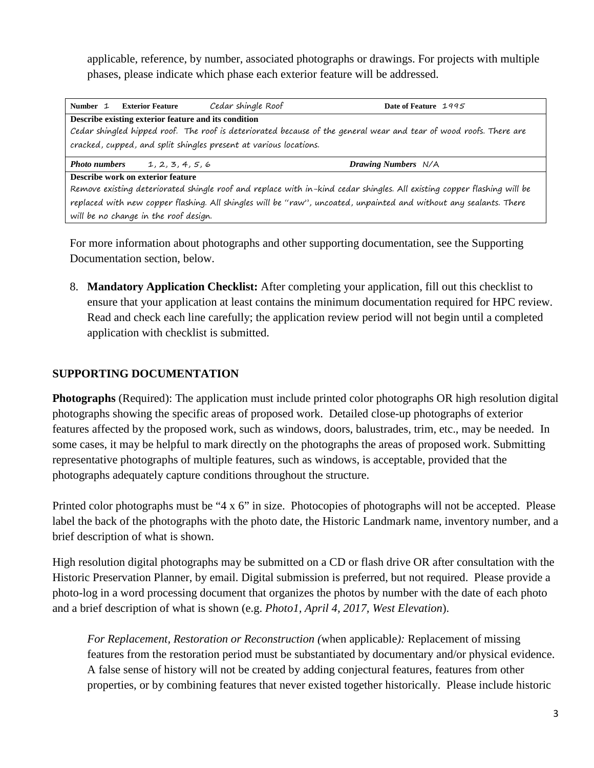applicable, reference, by number, associated photographs or drawings. For projects with multiple phases, please indicate which phase each exterior feature will be addressed.

| Number 1                                                                                                                | <b>Exterior Feature</b>                                                                                            | Cedar shingle Roof | Date of Feature 1995       |  |  |  |  |
|-------------------------------------------------------------------------------------------------------------------------|--------------------------------------------------------------------------------------------------------------------|--------------------|----------------------------|--|--|--|--|
|                                                                                                                         | Describe existing exterior feature and its condition                                                               |                    |                            |  |  |  |  |
|                                                                                                                         | Cedar shingled hipped roof. The roof is deteriorated because of the general wear and tear of wood roofs. There are |                    |                            |  |  |  |  |
|                                                                                                                         | cracked, cupped, and split shingles present at various locations.                                                  |                    |                            |  |  |  |  |
| <b>Photo numbers</b>                                                                                                    | 1, 2, 3, 4, 5, 6                                                                                                   |                    | <b>Drawing Numbers</b> N/A |  |  |  |  |
|                                                                                                                         | Describe work on exterior feature                                                                                  |                    |                            |  |  |  |  |
| Remove existing deteriorated shingle roof and replace with in-kind cedar shingles. All existing copper flashing will be |                                                                                                                    |                    |                            |  |  |  |  |
| replaced with new copper flashing. All shingles will be "raw", uncoated, unpainted and without any sealants. There      |                                                                                                                    |                    |                            |  |  |  |  |
|                                                                                                                         | will be no change in the roof design.                                                                              |                    |                            |  |  |  |  |

For more information about photographs and other supporting documentation, see the Supporting Documentation section, below.

8. **Mandatory Application Checklist:** After completing your application, fill out this checklist to ensure that your application at least contains the minimum documentation required for HPC review. Read and check each line carefully; the application review period will not begin until a completed application with checklist is submitted.

### **SUPPORTING DOCUMENTATION**

**Photographs** (Required): The application must include printed color photographs OR high resolution digital photographs showing the specific areas of proposed work. Detailed close-up photographs of exterior features affected by the proposed work, such as windows, doors, balustrades, trim, etc., may be needed. In some cases, it may be helpful to mark directly on the photographs the areas of proposed work. Submitting representative photographs of multiple features, such as windows, is acceptable, provided that the photographs adequately capture conditions throughout the structure.

Printed color photographs must be "4 x 6" in size. Photocopies of photographs will not be accepted. Please label the back of the photographs with the photo date, the Historic Landmark name, inventory number, and a brief description of what is shown.

High resolution digital photographs may be submitted on a CD or flash drive OR after consultation with the Historic Preservation Planner, by email. Digital submission is preferred, but not required. Please provide a photo-log in a word processing document that organizes the photos by number with the date of each photo and a brief description of what is shown (e.g. *Photo1, April 4, 2017, West Elevation*).

*For Replacement, Restoration or Reconstruction (*when applicable*):* Replacement of missing features from the restoration period must be substantiated by documentary and/or physical evidence. A false sense of history will not be created by adding conjectural features, features from other properties, or by combining features that never existed together historically. Please include historic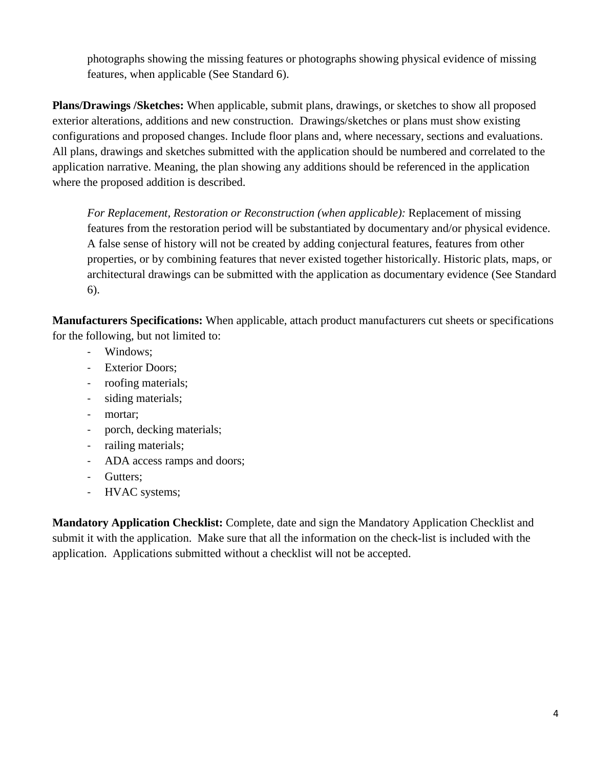photographs showing the missing features or photographs showing physical evidence of missing features, when applicable (See Standard 6).

**Plans/Drawings /Sketches:** When applicable, submit plans, drawings, or sketches to show all proposed exterior alterations, additions and new construction. Drawings/sketches or plans must show existing configurations and proposed changes. Include floor plans and, where necessary, sections and evaluations. All plans, drawings and sketches submitted with the application should be numbered and correlated to the application narrative. Meaning, the plan showing any additions should be referenced in the application where the proposed addition is described.

*For Replacement, Restoration or Reconstruction (when applicable):* Replacement of missing features from the restoration period will be substantiated by documentary and/or physical evidence. A false sense of history will not be created by adding conjectural features, features from other properties, or by combining features that never existed together historically. Historic plats, maps, or architectural drawings can be submitted with the application as documentary evidence (See Standard 6).

**Manufacturers Specifications:** When applicable, attach product manufacturers cut sheets or specifications for the following, but not limited to:

- Windows;
- Exterior Doors;
- roofing materials;
- siding materials;
- mortar;
- porch, decking materials;
- railing materials;
- ADA access ramps and doors;
- Gutters;
- HVAC systems;

**Mandatory Application Checklist:** Complete, date and sign the Mandatory Application Checklist and submit it with the application. Make sure that all the information on the check-list is included with the application. Applications submitted without a checklist will not be accepted.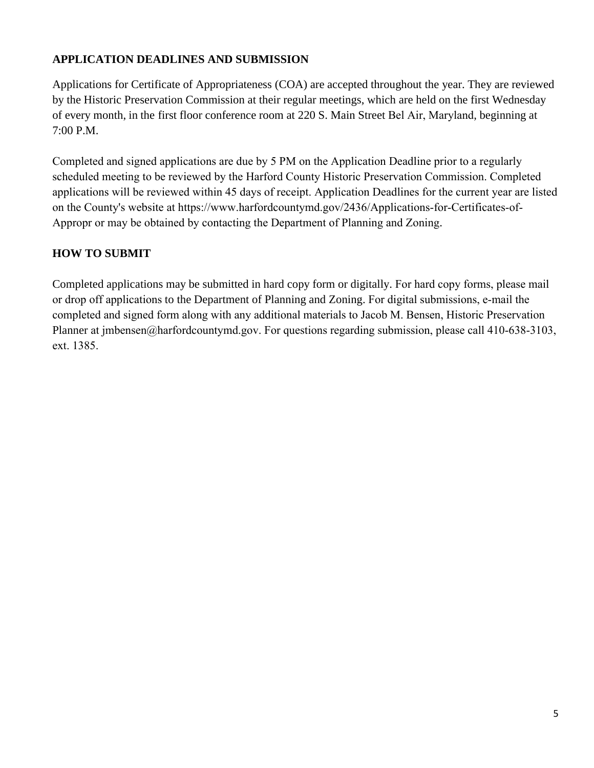### **APPLICATION DEADLINES AND SUBMISSION**

Applications for Certificate of Appropriateness (COA) are accepted throughout the year. They are reviewed by the Historic Preservation Commission at their regular meetings, which are held on the first Wednesday of every month, in the first floor conference room at 220 S. Main Street Bel Air, Maryland, beginning at 7:00 P.M.

Completed and signed applications are due by 5 PM on the Application Deadline prior to a regularly scheduled meeting to be reviewed by the Harford County Historic Preservation Commission. Completed applications will be reviewed within 45 days of receipt. Application Deadlines for the current year are listed [on the County's website at https://www.harfordcountymd.gov/2436/Applications-for-Certificates-of-](https://www.harfordcountymd.gov/2436/Applications-for-Certificates-of-Appropr)Appropr or may be obtained by contacting the Department of Planning and Zoning.

### **HOW TO SUBMIT**

[Completed applications may](mailto:cemerritt@harfordcountymd.gov) be submitted in hard copy form or digitally. For hard copy forms, please mail or drop off applications to the Department of Planning and Zoning. For digital submissions, e-mail the completed and signed form along with any additional materials to Jacob M. Bensen, Historic Preservation Planner at jmbensen@harfordcountymd.gov. For questions regarding submission, please call 410-638-3103, ext. 1385.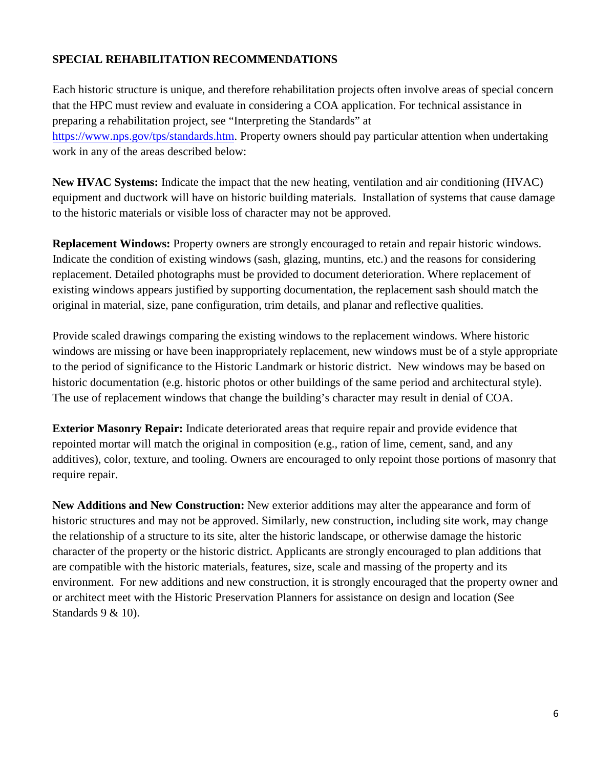### **SPECIAL REHABILITATION RECOMMENDATIONS**

Each historic structure is unique, and therefore rehabilitation projects often involve areas of special concern that the HPC must review and evaluate in considering a COA application. For technical assistance in preparing a rehabilitation project, see "Interpreting the Standards" at [https://www.nps.gov/tps/standards.htm.](https://www.nps.gov/tps/standards.htm) Property owners should pay particular attention when undertaking work in any of the areas described below:

**New HVAC Systems:** Indicate the impact that the new heating, ventilation and air conditioning (HVAC) equipment and ductwork will have on historic building materials. Installation of systems that cause damage to the historic materials or visible loss of character may not be approved.

**Replacement Windows:** Property owners are strongly encouraged to retain and repair historic windows. Indicate the condition of existing windows (sash, glazing, muntins, etc.) and the reasons for considering replacement. Detailed photographs must be provided to document deterioration. Where replacement of existing windows appears justified by supporting documentation, the replacement sash should match the original in material, size, pane configuration, trim details, and planar and reflective qualities.

Provide scaled drawings comparing the existing windows to the replacement windows. Where historic windows are missing or have been inappropriately replacement, new windows must be of a style appropriate to the period of significance to the Historic Landmark or historic district. New windows may be based on historic documentation (e.g. historic photos or other buildings of the same period and architectural style). The use of replacement windows that change the building's character may result in denial of COA.

**Exterior Masonry Repair:** Indicate deteriorated areas that require repair and provide evidence that repointed mortar will match the original in composition (e.g., ration of lime, cement, sand, and any additives), color, texture, and tooling. Owners are encouraged to only repoint those portions of masonry that require repair.

**New Additions and New Construction:** New exterior additions may alter the appearance and form of historic structures and may not be approved. Similarly, new construction, including site work, may change the relationship of a structure to its site, alter the historic landscape, or otherwise damage the historic character of the property or the historic district. Applicants are strongly encouraged to plan additions that are compatible with the historic materials, features, size, scale and massing of the property and its environment. For new additions and new construction, it is strongly encouraged that the property owner and or architect meet with the Historic Preservation Planners for assistance on design and location (See Standards 9 & 10).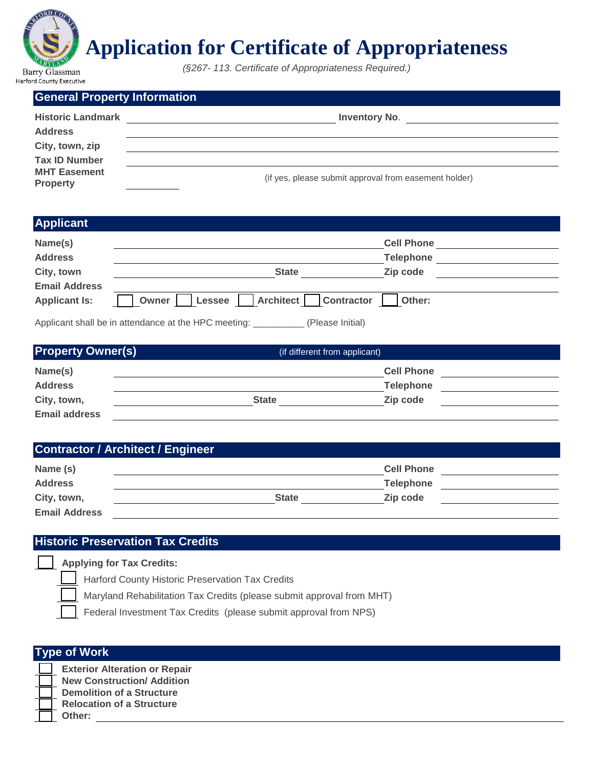

# **Application for Certificate of Appropriateness**

*(§267- 113. Certificate of Appropriateness Required.)*

| <b>General Property Information</b>    |                                                       |
|----------------------------------------|-------------------------------------------------------|
| <b>Historic Landmark</b>               | <b>Inventory No.</b>                                  |
| <b>Address</b>                         |                                                       |
| City, town, zip                        |                                                       |
| <b>Tax ID Number</b>                   |                                                       |
| <b>MHT Easement</b><br><b>Property</b> | (if yes, please submit approval from easement holder) |

### **Applicant**

| Name(s)              |                                                      | <b>Cell Phone</b> |        |
|----------------------|------------------------------------------------------|-------------------|--------|
| <b>Address</b>       |                                                      | <b>Telephone</b>  |        |
| City, town           | <b>State</b>                                         | Zip code          |        |
| <b>Email Address</b> |                                                      |                   |        |
| <b>Applicant Is:</b> | <b>Architect</b><br>Lessee<br>Owner                  | <b>Contractor</b> | Other: |
|                      | Applicant shall be in attendance at the HPC meeting: | (Please Initial)  |        |

**Property Owner(s)** (if different from applicant) **Name(s) Cell Phone Address Telephone City, town, The City of the City, town, The City of the City, town, The City of the City of the City of The City Email address**

### **Contractor / Architect / Engineer**

| Name (s)             |              | <b>Cell Phone</b> |  |
|----------------------|--------------|-------------------|--|
| <b>Address</b>       |              | <b>Telephone</b>  |  |
| City, town,          | <b>State</b> | Zip code          |  |
| <b>Email Address</b> |              |                   |  |

### **Historic Preservation Tax Credits**

| Applying for Tax Credits: |  |
|---------------------------|--|
|---------------------------|--|

Harford County Historic Preservation Tax Credits

Maryland Rehabilitation Tax Credits (please submit approval from MHT)

Federal Investment Tax Credits (please submit approval from NPS)

| <b>Type of Work</b>                                                       |  |  |  |
|---------------------------------------------------------------------------|--|--|--|
| <b>Exterior Alteration or Repair</b><br><b>New Construction/ Addition</b> |  |  |  |
| <b>Demolition of a Structure</b>                                          |  |  |  |
| <b>Relocation of a Structure</b><br>Other:                                |  |  |  |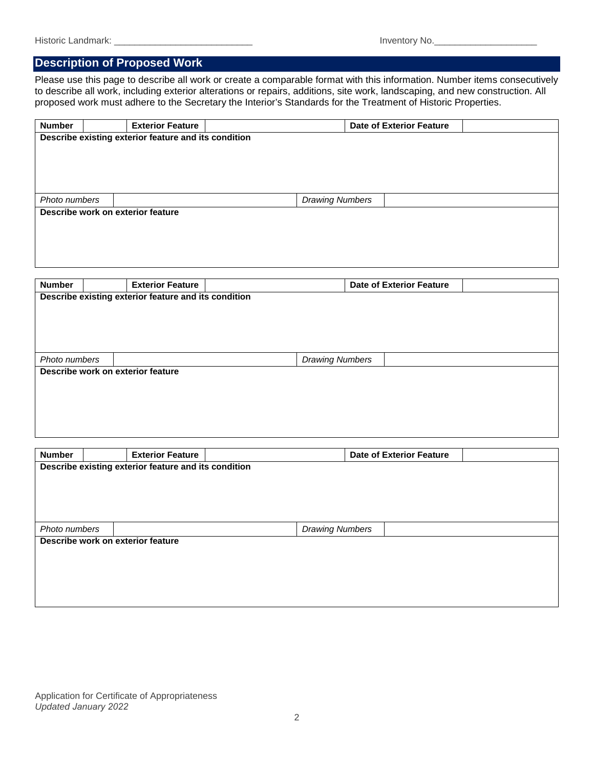### **Description of Proposed Work**

Please use this page to describe all work or create a comparable format with this information. Number items consecutively to describe all work, including exterior alterations or repairs, additions, site work, landscaping, and new construction. All proposed work must adhere to the Secretary the Interior's Standards for the Treatment of Historic Properties.

| <b>Number</b> | <b>Exterior Feature</b>                              | <b>Date of Exterior Feature</b> |  |  |  |  |
|---------------|------------------------------------------------------|---------------------------------|--|--|--|--|
|               | Describe existing exterior feature and its condition |                                 |  |  |  |  |
|               |                                                      |                                 |  |  |  |  |
|               |                                                      |                                 |  |  |  |  |
|               |                                                      |                                 |  |  |  |  |
|               |                                                      |                                 |  |  |  |  |
| Photo numbers |                                                      | <b>Drawing Numbers</b>          |  |  |  |  |
|               | Describe work on exterior feature                    |                                 |  |  |  |  |
|               |                                                      |                                 |  |  |  |  |
|               |                                                      |                                 |  |  |  |  |
|               |                                                      |                                 |  |  |  |  |
|               |                                                      |                                 |  |  |  |  |

| <b>Number</b> | <b>Exterior Feature</b>                              |  |                        | <b>Date of Exterior Feature</b> |  |  |  |
|---------------|------------------------------------------------------|--|------------------------|---------------------------------|--|--|--|
|               | Describe existing exterior feature and its condition |  |                        |                                 |  |  |  |
|               |                                                      |  |                        |                                 |  |  |  |
|               |                                                      |  |                        |                                 |  |  |  |
|               |                                                      |  |                        |                                 |  |  |  |
|               |                                                      |  |                        |                                 |  |  |  |
| Photo numbers |                                                      |  | <b>Drawing Numbers</b> |                                 |  |  |  |
|               | Describe work on exterior feature                    |  |                        |                                 |  |  |  |
|               |                                                      |  |                        |                                 |  |  |  |
|               |                                                      |  |                        |                                 |  |  |  |
|               |                                                      |  |                        |                                 |  |  |  |
|               |                                                      |  |                        |                                 |  |  |  |
|               |                                                      |  |                        |                                 |  |  |  |

| <b>Number</b> |                                                      | <b>Exterior Feature</b>           |  |                        | <b>Date of Exterior Feature</b> |  |  |
|---------------|------------------------------------------------------|-----------------------------------|--|------------------------|---------------------------------|--|--|
|               | Describe existing exterior feature and its condition |                                   |  |                        |                                 |  |  |
|               |                                                      |                                   |  |                        |                                 |  |  |
|               |                                                      |                                   |  |                        |                                 |  |  |
|               |                                                      |                                   |  |                        |                                 |  |  |
|               |                                                      |                                   |  |                        |                                 |  |  |
| Photo numbers |                                                      |                                   |  | <b>Drawing Numbers</b> |                                 |  |  |
|               |                                                      | Describe work on exterior feature |  |                        |                                 |  |  |
|               |                                                      |                                   |  |                        |                                 |  |  |
|               |                                                      |                                   |  |                        |                                 |  |  |
|               |                                                      |                                   |  |                        |                                 |  |  |
|               |                                                      |                                   |  |                        |                                 |  |  |
|               |                                                      |                                   |  |                        |                                 |  |  |

Application for Certificate of Appropriateness *Updated January 2022*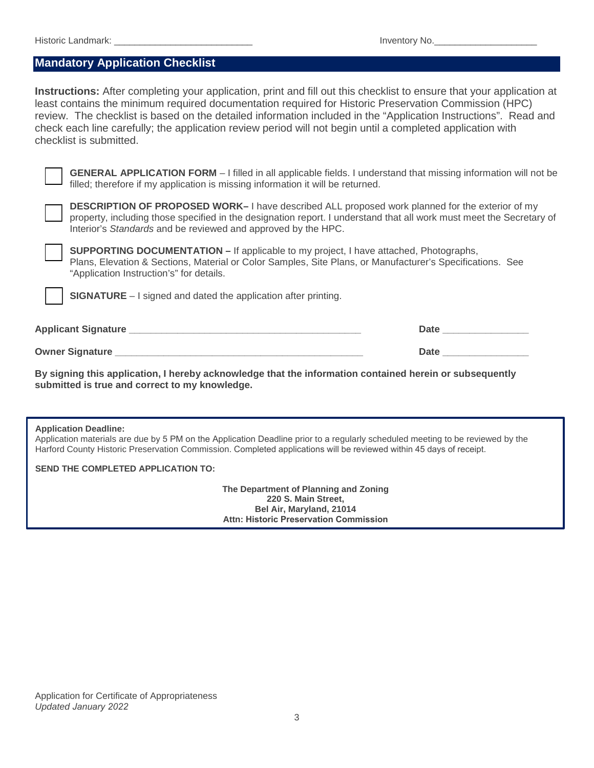### **Mandatory Application Checklist**

**Instructions:** After completing your application, print and fill out this checklist to ensure that your application at least contains the minimum required documentation required for Historic Preservation Commission (HPC) review. The checklist is based on the detailed information included in the "Application Instructions". Read and check each line carefully; the application review period will not begin until a completed application with checklist is submitted.



**GENERAL APPLICATION FORM** – I filled in all applicable fields. I understand that missing information will not be filled; therefore if my application is missing information it will be returned.



**DESCRIPTION OF PROPOSED WORK–** I have described ALL proposed work planned for the exterior of my property, including those specified in the designation report. I understand that all work must meet the Secretary of Interior's *Standards* and be reviewed and approved by the HPC.



**SUPPORTING DOCUMENTATION –** If applicable to my project, I have attached, Photographs, Plans, Elevation & Sections, Material or Color Samples, Site Plans, or Manufacturer's Specifications. See "Application Instruction's" for details.

**SIGNATURE** – I signed and dated the application after printing.

| <b>Applicant Signature</b> | Date.       |
|----------------------------|-------------|
| <b>Owner Signature</b>     | <b>Date</b> |

**By signing this application, I hereby acknowledge that the information contained herein or subsequently submitted is true and correct to my knowledge.**

#### **Application Deadline:**

Application materials are due by 5 PM on the Application Deadline prior to a regularly scheduled meeting to be reviewed by the Harford County Historic Preservation Commission. Completed applications will be reviewed within 45 days of receipt.

**SEND THE COMPLETED APPLICATION TO:** 

**The Department of Planning and Zoning 220 S. Main Street, Bel Air, Maryland, 21014 Attn: Historic Preservation Commission**

Application for Certificate of Appropriateness *Updated January 2022*